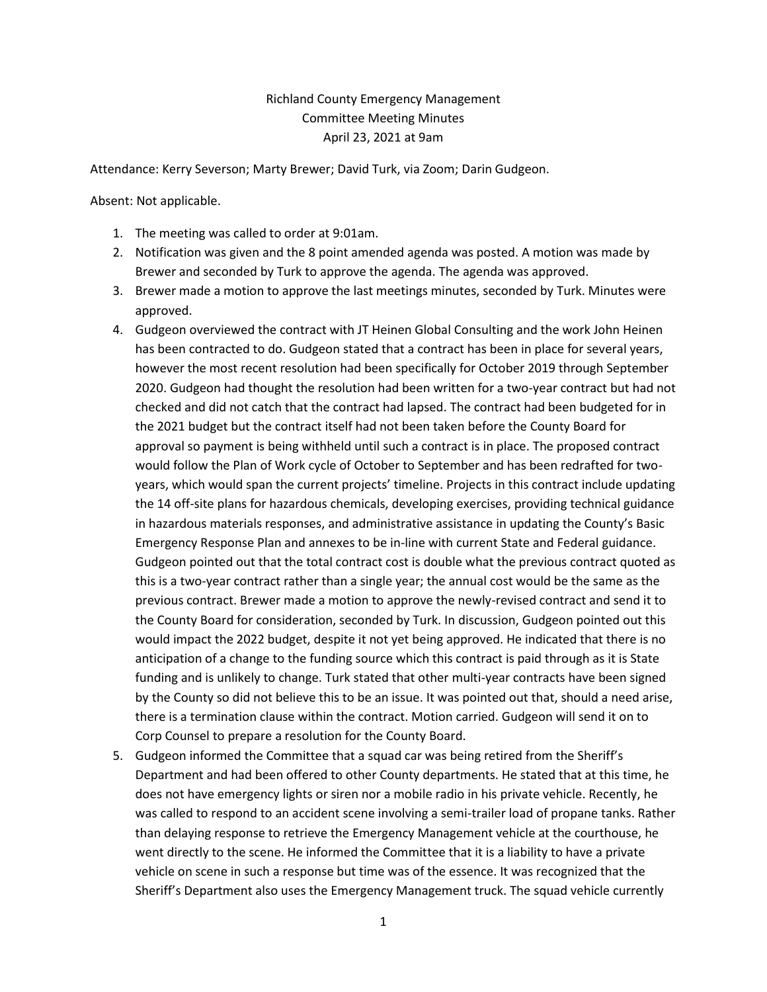## Richland County Emergency Management Committee Meeting Minutes April 23, 2021 at 9am

Attendance: Kerry Severson; Marty Brewer; David Turk, via Zoom; Darin Gudgeon.

Absent: Not applicable.

- 1. The meeting was called to order at 9:01am.
- 2. Notification was given and the 8 point amended agenda was posted. A motion was made by Brewer and seconded by Turk to approve the agenda. The agenda was approved.
- 3. Brewer made a motion to approve the last meetings minutes, seconded by Turk. Minutes were approved.
- 4. Gudgeon overviewed the contract with JT Heinen Global Consulting and the work John Heinen has been contracted to do. Gudgeon stated that a contract has been in place for several years, however the most recent resolution had been specifically for October 2019 through September 2020. Gudgeon had thought the resolution had been written for a two-year contract but had not checked and did not catch that the contract had lapsed. The contract had been budgeted for in the 2021 budget but the contract itself had not been taken before the County Board for approval so payment is being withheld until such a contract is in place. The proposed contract would follow the Plan of Work cycle of October to September and has been redrafted for twoyears, which would span the current projects' timeline. Projects in this contract include updating the 14 off-site plans for hazardous chemicals, developing exercises, providing technical guidance in hazardous materials responses, and administrative assistance in updating the County's Basic Emergency Response Plan and annexes to be in-line with current State and Federal guidance. Gudgeon pointed out that the total contract cost is double what the previous contract quoted as this is a two-year contract rather than a single year; the annual cost would be the same as the previous contract. Brewer made a motion to approve the newly-revised contract and send it to the County Board for consideration, seconded by Turk. In discussion, Gudgeon pointed out this would impact the 2022 budget, despite it not yet being approved. He indicated that there is no anticipation of a change to the funding source which this contract is paid through as it is State funding and is unlikely to change. Turk stated that other multi-year contracts have been signed by the County so did not believe this to be an issue. It was pointed out that, should a need arise, there is a termination clause within the contract. Motion carried. Gudgeon will send it on to Corp Counsel to prepare a resolution for the County Board.
- 5. Gudgeon informed the Committee that a squad car was being retired from the Sheriff's Department and had been offered to other County departments. He stated that at this time, he does not have emergency lights or siren nor a mobile radio in his private vehicle. Recently, he was called to respond to an accident scene involving a semi-trailer load of propane tanks. Rather than delaying response to retrieve the Emergency Management vehicle at the courthouse, he went directly to the scene. He informed the Committee that it is a liability to have a private vehicle on scene in such a response but time was of the essence. It was recognized that the Sheriff's Department also uses the Emergency Management truck. The squad vehicle currently